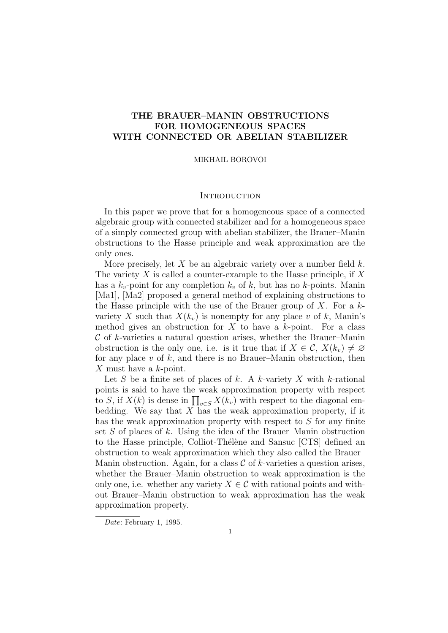# THE BRAUER–MANIN OBSTRUCTIONS FOR HOMOGENEOUS SPACES WITH CONNECTED OR ABELIAN STABILIZER

# MIKHAIL BOROVOI

# **INTRODUCTION**

In this paper we prove that for a homogeneous space of a connected algebraic group with connected stabilizer and for a homogeneous space of a simply connected group with abelian stabilizer, the Brauer–Manin obstructions to the Hasse principle and weak approximation are the only ones.

More precisely, let X be an algebraic variety over a number field  $k$ . The variety  $X$  is called a counter-example to the Hasse principle, if  $X$ has a  $k_v$ -point for any completion  $k_v$  of k, but has no k-points. Manin [Ma1], [Ma2] proposed a general method of explaining obstructions to the Hasse principle with the use of the Brauer group of  $X$ . For a  $k$ variety X such that  $X(k_v)$  is nonempty for any place v of k, Manin's method gives an obstruction for  $X$  to have a k-point. For a class  $\mathcal C$  of k-varieties a natural question arises, whether the Brauer–Manin obstruction is the only one, i.e. is it true that if  $X \in \mathcal{C}$ ,  $X(k_v) \neq \emptyset$ for any place  $v$  of  $k$ , and there is no Brauer–Manin obstruction, then X must have a k-point.

Let S be a finite set of places of k. A k-variety X with k-rational points is said to have the weak approximation property with respect to S, if  $X(k)$  is dense in  $\prod_{v \in S} X(k_v)$  with respect to the diagonal embedding. We say that  $X$  has the weak approximation property, if it has the weak approximation property with respect to  $S$  for any finite set S of places of k. Using the idea of the Brauer–Manin obstruction to the Hasse principle, Colliot-Thélène and Sansuc [CTS] defined an obstruction to weak approximation which they also called the Brauer– Manin obstruction. Again, for a class  $\mathcal C$  of k-varieties a question arises, whether the Brauer–Manin obstruction to weak approximation is the only one, i.e. whether any variety  $X \in \mathcal{C}$  with rational points and without Brauer–Manin obstruction to weak approximation has the weak approximation property.

Date: February 1, 1995.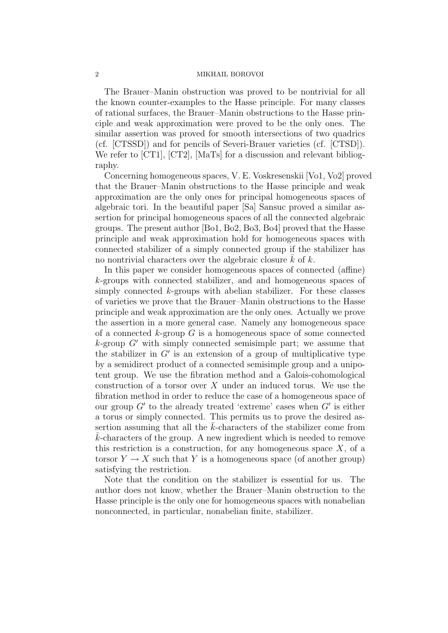The Brauer–Manin obstruction was proved to be nontrivial for all the known counter-examples to the Hasse principle. For many classes of rational surfaces, the Brauer–Manin obstructions to the Hasse principle and weak approximation were proved to be the only ones. The similar assertion was proved for smooth intersections of two quadrics (cf. [CTSSD]) and for pencils of Severi-Brauer varieties (cf. [CTSD]). We refer to [CT1], [CT2], [MaTs] for a discussion and relevant bibliography.

Concerning homogeneous spaces, V. E. Voskresenskii [Vo1, Vo2] proved that the Brauer–Manin obstructions to the Hasse principle and weak approximation are the only ones for principal homogeneous spaces of algebraic tori. In the beautiful paper [Sa] Sansuc proved a similar assertion for principal homogeneous spaces of all the connected algebraic groups. The present author [Bo1, Bo2, Bo3, Bo4] proved that the Hasse principle and weak approximation hold for homogeneous spaces with connected stabilizer of a simply connected group if the stabilizer has no nontrivial characters over the algebraic closure  $\bar{k}$  of  $k$ .

In this paper we consider homogeneous spaces of connected (affine) k-groups with connected stabilizer, and and homogeneous spaces of simply connected  $k$ -groups with abelian stabilizer. For these classes of varieties we prove that the Brauer–Manin obstructions to the Hasse principle and weak approximation are the only ones. Actually we prove the assertion in a more general case. Namely any homogeneous space of a connected  $k$ -group  $G$  is a homogeneous space of some connected  $k$ -group  $G'$  with simply connected semisimple part; we assume that the stabilizer in  $G'$  is an extension of a group of multiplicative type by a semidirect product of a connected semisimple group and a unipotent group. We use the fibration method and a Galois-cohomological construction of a torsor over  $X$  under an induced torus. We use the fibration method in order to reduce the case of a homogeneous space of our group  $G'$  to the already treated 'extreme' cases when  $G'$  is either a torus or simply connected. This permits us to prove the desired assertion assuming that all the  $k$ -characters of the stabilizer come from  $k$ -characters of the group. A new ingredient which is needed to remove this restriction is a construction, for any homogeneous space  $X$ , of a torsor  $Y \to X$  such that Y is a homogeneous space (of another group) satisfying the restriction.

Note that the condition on the stabilizer is essential for us. The author does not know, whether the Brauer–Manin obstruction to the Hasse principle is the only one for homogeneous spaces with nonabelian nonconnected, in particular, nonabelian finite, stabilizer.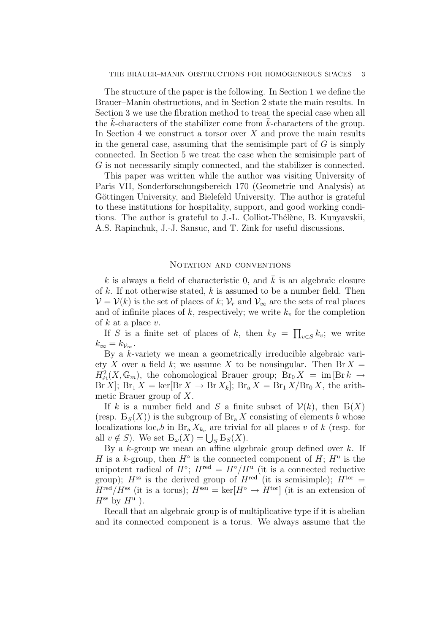The structure of the paper is the following. In Section 1 we define the Brauer–Manin obstructions, and in Section 2 state the main results. In Section 3 we use the fibration method to treat the special case when all the  $k$ -characters of the stabilizer come from  $k$ -characters of the group. In Section 4 we construct a torsor over  $X$  and prove the main results in the general case, assuming that the semisimple part of  $G$  is simply connected. In Section 5 we treat the case when the semisimple part of G is not necessarily simply connected, and the stabilizer is connected.

This paper was written while the author was visiting University of Paris VII, Sonderforschungsbereich 170 (Geometrie und Analysis) at Göttingen University, and Bielefeld University. The author is grateful to these institutions for hospitality, support, and good working conditions. The author is grateful to J.-L. Colliot-Thélène, B. Kunyavskii, A.S. Rapinchuk, J.-J. Sansuc, and T. Zink for useful discussions.

# NOTATION AND CONVENTIONS

k is always a field of characteristic 0, and  $\bar{k}$  is an algebraic closure of  $k$ . If not otherwise stated,  $k$  is assumed to be a number field. Then  $\mathcal{V} = \mathcal{V}(k)$  is the set of places of k;  $\mathcal{V}_r$  and  $\mathcal{V}_{\infty}$  are the sets of real places and of infinite places of k, respectively; we write  $k_v$  for the completion of  $k$  at a place  $v$ .

If S is a finite set of places of k, then  $k_S = \prod_{v \in S} k_v$ ; we write  $k_{\infty} = k_{\mathcal{V}_{\infty}}.$ 

By a k-variety we mean a geometrically irreducible algebraic variety X over a field k; we assume X to be nonsingular. Then  $\text{Br } X =$  $H^2_{\text{\'et}}(X,\mathbb{G}_m)$ , the cohomological Brauer group;  $\widetilde{\text{Br}}_0 X = \text{im} [\text{Br } k \to$  $\text{Br } X$ ;  $\text{Br}_1 X = \text{ker}[\text{Br } X \to \text{Br } X_{\bar{k}}]$ ;  $\text{Br}_a X = \text{Br}_1 X / \text{Br}_0 X$ , the arithmetic Brauer group of X.

If k is a number field and S a finite subset of  $\mathcal{V}(k)$ , then  $E(X)$ (resp.  $B_S(X)$ ) is the subgroup of  $B_{r_a} X$  consisting of elements b whose localizations loc<sub>v</sub>b in Br<sub>a</sub>  $X_{k_v}$  are trivial for all places v of k (resp. for all  $v \notin S$ ). We set  $B_{\omega}(X) = \bigcup_{S} B_{S}(X)$ .

By a k-group we mean an affine algebraic group defined over  $k$ . If H is a k-group, then  $H^{\circ}$  is the connected component of  $H$ ;  $H^{\mathrm{u}}$  is the unipotent radical of  $H^{\circ}$ ;  $H^{\text{red}} = H^{\circ}/H^{\text{u}}$  (it is a connected reductive group);  $H^{ss}$  is the derived group of  $H^{red}$  (it is semisimple);  $H^{tor} =$  $H^{\text{red}}/H^{\text{ss}}$  (it is a torus);  $H^{\text{ssu}} = \text{ker}[H^{\circ} \to H^{\text{tor}}]$  (it is an extension of  $H^{\rm ss}$  by  $H^{\rm u}$  ).

Recall that an algebraic group is of multiplicative type if it is abelian and its connected component is a torus. We always assume that the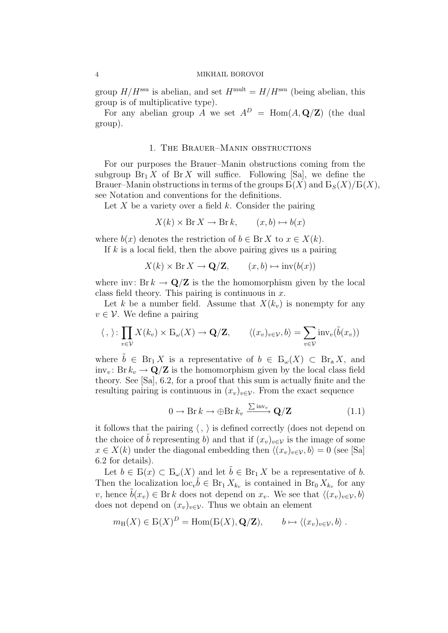group  $H/H^{\text{ssu}}$  is abelian, and set  $H^{\text{mult}} = H/H^{\text{ssu}}$  (being abelian, this group is of multiplicative type).

For any abelian group A we set  $A^D = \text{Hom}(A, \mathbf{Q}/\mathbf{Z})$  (the dual group).

# 1. The Brauer–Manin obstructions

For our purposes the Brauer–Manin obstructions coming from the subgroup  $\text{Br}_1 X$  of  $\text{Br } X$  will suffice. Following [Sa], we define the Brauer–Manin obstructions in terms of the groups  $B(X)$  and  $B_S(X)/B(X)$ , see Notation and conventions for the definitions.

Let  $X$  be a variety over a field  $k$ . Consider the pairing

$$
X(k) \times \text{Br } X \to \text{Br } k, \qquad (x, b) \mapsto b(x)
$$

where  $b(x)$  denotes the restriction of  $b \in \mathbb{B}r X$  to  $x \in X(k)$ .

If  $k$  is a local field, then the above pairing gives us a pairing

$$
X(k) \times \text{Br } X \to \mathbf{Q}/\mathbf{Z}, \qquad (x, b) \mapsto \text{inv}(b(x))
$$

where inv: Br  $k \to \mathbf{Q}/\mathbf{Z}$  is the the homomorphism given by the local class field theory. This pairing is continuous in  $x$ .

Let k be a number field. Assume that  $X(k_n)$  is nonempty for any  $v \in V$ . We define a pairing

$$
\langle , \rangle : \prod_{v \in \mathcal{V}} X(k_v) \times \mathcal{B}_{\omega}(X) \to \mathbf{Q}/\mathbf{Z}, \qquad \langle (x_v)_{v \in \mathcal{V}}, b \rangle = \sum_{v \in \mathcal{V}} \text{inv}_v(\tilde{b}(x_v))
$$

where  $\tilde{b} \in Br_1 X$  is a representative of  $b \in E_{\omega}(X) \subset Br_a X$ , and inv<sub>v</sub>: Br  $k_v \rightarrow \mathbf{Q}/\mathbf{Z}$  is the homomorphism given by the local class field theory. See [Sa], 6.2, for a proof that this sum is actually finite and the resulting pairing is continuous in  $(x_v)_{v \in \mathcal{V}}$ . From the exact sequence

$$
0 \to \text{Br} k \to \bigoplus \text{Br} k_v \xrightarrow{\sum \text{inv}_v} \mathbf{Q}/\mathbf{Z}
$$
 (1.1)

it follows that the pairing  $\langle , \rangle$  is defined correctly (does not depend on the choice of b representing b) and that if  $(x_v)_{v\in\mathcal{V}}$  is the image of some  $x \in X(k)$  under the diagonal embedding then  $\langle (x_v)_{v \in \mathcal{V}}, b \rangle = 0$  (see [Sa] 6.2 for details).

Let  $b \in B(x) \subset B_{\omega}(X)$  and let  $b \in B_{r_1}X$  be a representative of b. Then the localization  $\mathrm{loc}_{v} \tilde{b} \in \text{Br}_1 X_{k_v}$  is contained in  $\text{Br}_0 X_{k_v}$  for any v, hence  $\hat{b}(x_v) \in \text{Br } k$  does not depend on  $x_v$ . We see that  $\langle (x_v)_{v \in \mathcal{V}}, b \rangle$ does not depend on  $(x_v)_{v \in \mathcal{V}}$ . Thus we obtain an element

$$
m_{\mathrm{H}}(X) \in \mathrm{B}(X)^{D} = \mathrm{Hom}(\mathrm{B}(X), \mathbf{Q}/\mathbf{Z}), \qquad b \mapsto \langle (x_{v})_{v \in \mathcal{V}}, b \rangle.
$$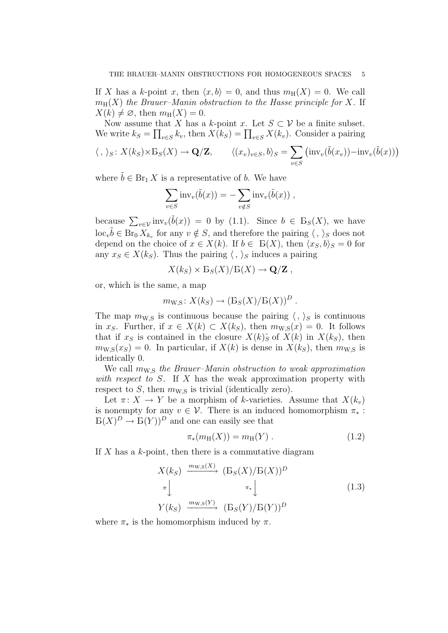If X has a k-point x, then  $\langle x, b \rangle = 0$ , and thus  $m_H(X) = 0$ . We call  $m_H(X)$  the Brauer–Manin obstruction to the Hasse principle for X. If  $X(k) \neq \emptyset$ , then  $m_H(X) = 0$ .

Now assume that X has a k-point x. Let  $S \subset V$  be a finite subset. We write  $k_S = \prod_{v \in S} k_v$ , then  $X(k_S) = \prod_{v \in S} X(k_v)$ . Consider a pairing

$$
\langle , \rangle_S \colon X(k_S) \times B_S(X) \to \mathbf{Q}/\mathbf{Z}, \qquad \langle (x_v)_{v \in S}, b \rangle_S = \sum_{v \in S} (\text{inv}_v(\tilde{b}(x_v)) - \text{inv}_v(\tilde{b}(x)))
$$

where  $\tilde{b} \in \text{Br}_1 X$  is a representative of b. We have

$$
\sum_{v \in S} \mathrm{inv}_v(\tilde{b}(x)) = -\sum_{v \notin S} \mathrm{inv}_v(\tilde{b}(x)),
$$

because  $\sum_{v \in \mathcal{V}} \text{inv}_v(\tilde{b}(x)) = 0$  by (1.1). Since  $b \in B_S(X)$ , we have  $\mathrm{loc}_v \tilde{b} \in \mathrm{Br}_0 X_{k_v}$  for any  $v \notin S$ , and therefore the pairing  $\langle , \rangle_S$  does not depend on the choice of  $x \in X(k)$ . If  $b \in B(X)$ , then  $\langle x_S, b \rangle_S = 0$  for any  $x_S \in X(k_S)$ . Thus the pairing  $\langle , \rangle_S$  induces a pairing

$$
X(k_S) \times B_S(X)/B(X) \to \mathbf{Q}/\mathbf{Z},
$$

or, which is the same, a map

$$
m_{W,S}: X(k_S) \to (B_S(X)/B(X))^D.
$$

The map  $m_{\text{W.S}}$  is continuous because the pairing  $\langle , \rangle_S$  is continuous in  $x_S$ . Further, if  $x \in X(k) \subset X(k_S)$ , then  $m_{\text{W.S}}(x) = 0$ . It follows that if  $x_S$  is contained in the closure  $X(k)$ <sup>5</sup> of  $X(k)$  in  $X(k_S)$ , then  $m_{\text{W},S}(x_S) = 0$ . In particular, if  $X(k)$  is dense in  $X(k_S)$ , then  $m_{\text{W},S}$  is identically 0.

We call  $m_{\text{W}}$ <sub>S</sub> the Brauer–Manin obstruction to weak approximation with respect to  $S$ . If  $X$  has the weak approximation property with respect to S, then  $m_{\text{W.S}}$  is trivial (identically zero).

Let  $\pi: X \to Y$  be a morphism of k-varieties. Assume that  $X(k_n)$ is nonempty for any  $v \in V$ . There is an induced homomorphism  $\pi_*$ :  $E(X)^D \to E(Y)^D$  and one can easily see that

$$
\pi_*(m_{\rm H}(X)) = m_{\rm H}(Y) \ . \tag{1.2}
$$

If  $X$  has a  $k$ -point, then there is a commutative diagram

$$
X(k_S) \xrightarrow{m_{\text{W},\text{S}}(X)} (\text{B}_S(X)/\text{B}(X))^D
$$
  
\n
$$
\pi \downarrow \qquad \qquad \pi_* \downarrow \qquad (1.3)
$$
  
\n
$$
Y(k_S) \xrightarrow{m_{\text{W},\text{S}}(Y)} (\text{B}_S(Y)/\text{B}(Y))^D
$$

where  $\pi_*$  is the homomorphism induced by  $\pi$ .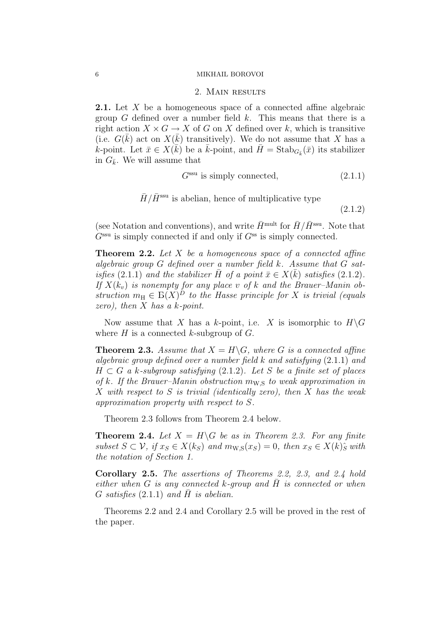#### 2. Main results

2.1. Let X be a homogeneous space of a connected affine algebraic group  $G$  defined over a number field  $k$ . This means that there is a right action  $X \times G \to X$  of G on X defined over k, which is transitive (i.e.  $G(\bar{k})$  act on  $X(\bar{k})$  transitively). We do not assume that X has a k-point. Let  $\bar{x} \in X(\bar{k})$  be a  $\bar{k}$ -point, and  $\bar{H} = \text{Stab}_{G_{\bar{k}}}(\bar{x})$  its stabilizer in  $G_{\bar{k}}$ . We will assume that

$$
Gssu is simply connected, \t(2.1.1)
$$

$$
\bar{H}/\bar{H}^{\text{ssu}}
$$
 is abelian, hence of multiplicative type

(2.1.2)

(see Notation and conventions), and write  $\bar{H}^{\text{mult}}$  for  $\bar{H}/\bar{H}^{\text{ssu}}$ . Note that  $G^{\text{ssu}}$  is simply connected if and only if  $G^{\text{ss}}$  is simply connected.

**Theorem 2.2.** Let  $X$  be a homogeneous space of a connected affine algebraic group G defined over a number field k. Assume that G satisfies (2.1.1) and the stabilizer  $\bar{H}$  of a point  $\bar{x} \in X(\bar{k})$  satisfies (2.1.2). If  $X(k_v)$  is nonempty for any place v of k and the Brauer–Manin obstruction  $m_H \in B(X)^D$  to the Hasse principle for X is trivial (equals zero), then  $X$  has a k-point.

Now assume that X has a k-point, i.e. X is isomorphic to  $H\backslash G$ where  $H$  is a connected k-subgroup of  $G$ .

**Theorem 2.3.** Assume that  $X = H\backslash G$ , where G is a connected affine algebraic group defined over a number field  $k$  and satisfying  $(2.1.1)$  and  $H \subset G$  a k-subgroup satisfying (2.1.2). Let S be a finite set of places of k. If the Brauer–Manin obstruction  $m_{\text{W},\text{S}}$  to weak approximation in X with respect to S is trivial (identically zero), then X has the weak approximation property with respect to S.

Theorem 2.3 follows from Theorem 2.4 below.

**Theorem 2.4.** Let  $X = H\backslash G$  be as in Theorem 2.3. For any finite subset  $S \subset \mathcal{V}$ , if  $x_S \in X(k_S)$  and  $m_{\text{W.S}}(x_S) = 0$ , then  $x_S \in X(k)$  $\hat{s}$  with the notation of Section 1.

Corollary 2.5. The assertions of Theorems 2.2, 2.3, and 2.4 hold either when G is any connected k-group and  $\overline{H}$  is connected or when G satisfies  $(2.1.1)$  and H is abelian.

Theorems 2.2 and 2.4 and Corollary 2.5 will be proved in the rest of the paper.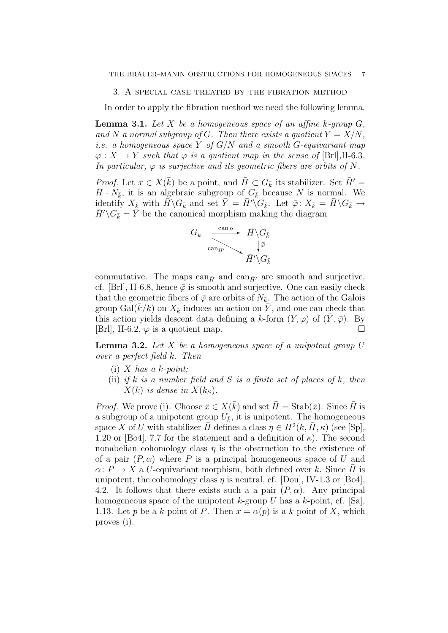#### 3. A special case treated by the fibration method

In order to apply the fibration method we need the following lemma.

**Lemma 3.1.** Let X be a homogeneous space of an affine k-group  $G$ , and N a normal subgroup of G. Then there exists a quotient  $Y = X/N$ , i.e. a homogeneous space Y of  $G/N$  and a smooth G-equivariant map  $\varphi: X \to Y$  such that  $\varphi$  is a quotient map in the sense of [Brl], II-6.3. In particular,  $\varphi$  is surjective and its geometric fibers are orbits of N.

*Proof.* Let  $\bar{x} \in X(\bar{k})$  be a point, and  $\bar{H} \subset G_{\bar{k}}$  its stabilizer. Set  $\bar{H}' =$  $\bar{H} \cdot N_{\bar{k}}$ , it is an algebraic subgroup of  $G_{\bar{k}}$  because N is normal. We identify  $X_{\bar{k}}$  with  $\bar{H} \backslash G_{\bar{k}}$  and set  $\bar{Y} = \bar{H}' \backslash G_{\bar{k}}$ . Let  $\bar{\varphi} : X_{\bar{k}} = \bar{H} \backslash G_{\bar{k}} \to$  $H'\backslash G_{\bar{k}} = Y$  be the canonical morphism making the diagram



commutative. The maps  $can_{\bar{H}}$  and  $can_{\bar{H}'}$  are smooth and surjective, cf. [Brl], II-6.8, hence  $\overline{\varphi}$  is smooth and surjective. One can easily check that the geometric fibers of  $\bar{\varphi}$  are orbits of  $N_{\bar{k}}$ . The action of the Galois group Gal( $\bar{k}/k$ ) on  $X_{\bar{k}}$  induces an action on  $\bar{Y}$ , and one can check that this action yields descent data defining a k-form  $(Y, \varphi)$  of  $(\overline{Y}, \overline{\varphi})$ . By [Brl], II-6.2,  $\varphi$  is a quotient map.

**Lemma 3.2.** Let  $X$  be a homogeneous space of a unipotent group  $U$ over a perfect field k. Then

- (i) X has a k-point;
- (ii) if k is a number field and S is a finite set of places of k, then  $X(k)$  is dense in  $X(k<sub>S</sub>)$ .

*Proof.* We prove (i). Choose  $\bar{x} \in X(\bar{k})$  and set  $\bar{H} = \text{Stab}(\bar{x})$ . Since  $\bar{H}$  is a subgroup of a unipotent group  $U_{\bar{k}}$ , it is unipotent. The homogeneous space X of U with stabilizer  $\overline{H}$  defines a class  $\eta \in H^2(k, \overline{H}, \kappa)$  (see [Sp], 1.20 or [Bo4], 7.7 for the statement and a definition of  $\kappa$ ). The second nonabelian cohomology class  $\eta$  is the obstruction to the existence of of a pair  $(P, \alpha)$  where P is a principal homogeneous space of U and  $\alpha: P \to X$  a U-equivariant morphism, both defined over k. Since  $\overline{H}$  is unipotent, the cohomology class  $\eta$  is neutral, cf. [Dou], IV-1.3 or [Bo4], 4.2. It follows that there exists such a a pair  $(P, \alpha)$ . Any principal homogeneous space of the unipotent k-group  $U$  has a k-point, cf. [Sa], 1.13. Let p be a k-point of P. Then  $x = \alpha(p)$  is a k-point of X, which proves (i).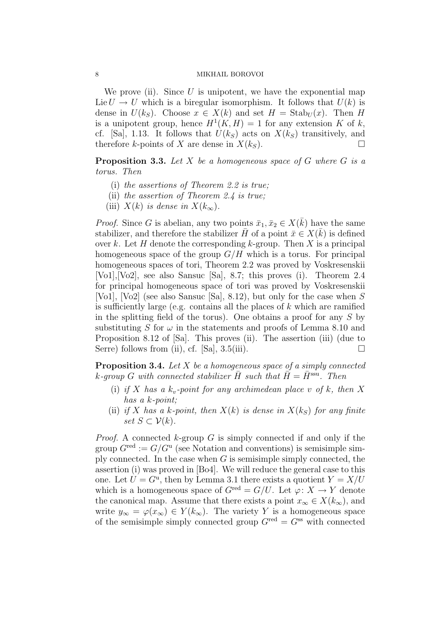We prove (ii). Since  $U$  is unipotent, we have the exponential map Lie  $U \to U$  which is a biregular isomorphism. It follows that  $U(k)$  is dense in  $U(k_S)$ . Choose  $x \in X(k)$  and set  $H = \text{Stab}_U(x)$ . Then H is a unipotent group, hence  $H^1(K, H) = 1$  for any extension K of k, cf. [Sa], 1.13. It follows that  $U(k_S)$  acts on  $X(k_S)$  transitively, and therefore k-points of X are dense in  $X(k<sub>S</sub>)$ .

**Proposition 3.3.** Let  $X$  be a homogeneous space of  $G$  where  $G$  is a torus. Then

- (i) the assertions of Theorem 2.2 is true;
- (ii) the assertion of Theorem 2.4 is true;
- (iii)  $X(k)$  is dense in  $X(k_{\infty})$ .

*Proof.* Since G is abelian, any two points  $\bar{x}_1, \bar{x}_2 \in X(\bar{k})$  have the same stabilizer, and therefore the stabilizer  $\bar{H}$  of a point  $\bar{x} \in X(\bar{k})$  is defined over k. Let H denote the corresponding k-group. Then X is a principal homogeneous space of the group  $G/H$  which is a torus. For principal homogeneous spaces of tori, Theorem 2.2 was proved by Voskresenskii [Vo1],[Vo2], see also Sansuc [Sa], 8.7; this proves (i). Theorem 2.4 for principal homogeneous space of tori was proved by Voskresenskii [Vo1], [Vo2] (see also Sansuc [Sa], 8.12), but only for the case when S is sufficiently large (e.g. contains all the places of  $k$  which are ramified in the splitting field of the torus). One obtains a proof for any  $S$  by substituting S for  $\omega$  in the statements and proofs of Lemma 8.10 and Proposition 8.12 of [Sa]. This proves (ii). The assertion (iii) (due to Serre) follows from (ii), cf. [Sa],  $3.5(iii)$ .

**Proposition 3.4.** Let  $X$  be a homogeneous space of a simply connected k-group G with connected stabilizer  $\bar{H}$  such that  $\bar{H} = \bar{H}^{\text{ssu}}$ . Then

- (i) if X has a  $k_v$ -point for any archimedean place v of k, then X has a k-point;
- (ii) if X has a k-point, then  $X(k)$  is dense in  $X(k<sub>S</sub>)$  for any finite set  $S \subset \mathcal{V}(k)$ .

*Proof.* A connected  $k$ -group  $G$  is simply connected if and only if the group  $G^{\text{red}} := G/G^{\text{u}}$  (see Notation and conventions) is semisimple simply connected. In the case when  $G$  is semisimple simply connected, the assertion (i) was proved in [Bo4]. We will reduce the general case to this one. Let  $U = G^{\mathrm{u}}$ , then by Lemma 3.1 there exists a quotient  $Y = X/U$ which is a homogeneous space of  $G^{\text{red}} = G/U$ . Let  $\varphi \colon X \to Y$  denote the canonical map. Assume that there exists a point  $x_{\infty} \in X(k_{\infty})$ , and write  $y_{\infty} = \varphi(x_{\infty}) \in Y(k_{\infty})$ . The variety Y is a homogeneous space of the semisimple simply connected group  $G^{\text{red}} = G^{\text{ss}}$  with connected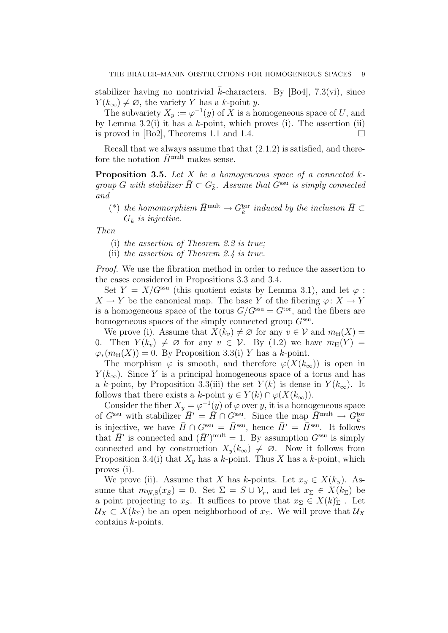stabilizer having no nontrivial k-characters. By [Bo4], 7.3(vi), since  $Y(k_{\infty}) \neq \emptyset$ , the variety Y has a k-point y.

The subvariety  $X_y := \varphi^{-1}(y)$  of X is a homogeneous space of U, and by Lemma 3.2(i) it has a k-point, which proves (i). The assertion (ii) is proved in [Bo2], Theorems 1.1 and 1.4.  $\Box$ 

Recall that we always assume that that  $(2.1.2)$  is satisfied, and therefore the notation  $\bar{H}^{\text{mult}}$  makes sense.

**Proposition 3.5.** Let  $X$  be a homogeneous space of a connected  $k$ group G with stabilizer  $\overline{H} \subset G_{\overline{k}}$ . Assume that  $G^{\text{ssu}}$  is simply connected and

(\*) the homomorphism  $\bar{H}^{\text{mult}} \to G_{\bar{k}}^{\text{tor}}$  induced by the inclusion  $\bar{H} \subset$  $G_{\bar{k}}$  is injective.

Then

- (i) the assertion of Theorem 2.2 is true;
- (ii) the assertion of Theorem 2.4 is true.

Proof. We use the fibration method in order to reduce the assertion to the cases considered in Propositions 3.3 and 3.4.

Set  $Y = X/G^{\text{ssu}}$  (this quotient exists by Lemma 3.1), and let  $\varphi$ :  $X \to Y$  be the canonical map. The base Y of the fibering  $\varphi: X \to Y$ is a homogeneous space of the torus  $G/G^{\text{ssu}} = G^{\text{tor}}$ , and the fibers are homogeneous spaces of the simply connected group  $G<sup>ssu</sup>$ .

We prove (i). Assume that  $X(k_v) \neq \emptyset$  for any  $v \in V$  and  $m_H(X) =$ 0. Then  $Y(k_v) \neq \emptyset$  for any  $v \in V$ . By (1.2) we have  $m_H(Y) =$  $\varphi_*(m_\text{H}(X)) = 0$ . By Proposition 3.3(i) Y has a k-point.

The morphism  $\varphi$  is smooth, and therefore  $\varphi(X(k_{\infty}))$  is open in  $Y(k_{\infty})$ . Since Y is a principal homogeneous space of a torus and has a k-point, by Proposition 3.3(iii) the set  $Y(k)$  is dense in  $Y(k_{\infty})$ . It follows that there exists a k-point  $y \in Y(k) \cap \varphi(X(k_{\infty}))$ .

Consider the fiber  $X_y = \varphi^{-1}(y)$  of  $\varphi$  over y, it is a homogeneous space of  $G^{\text{ssu}}$  with stabilizer  $\overline{H}^{\prime} = \overline{H} \cap G^{\text{ssu}}$ . Since the map  $\overline{H}^{\text{mult}} \to G_{\overline{k}}^{\text{tor}}$ is injective, we have  $\bar{H} \cap G^{\text{ssu}} = \bar{H}^{\text{ssu}}$ , hence  $\bar{H}' = \bar{H}^{\text{ssu}}$ . It follows that  $\bar{H}'$  is connected and  $(\bar{H}')^{\text{mult}} = 1$ . By assumption  $G^{\text{ssu}}$  is simply connected and by construction  $X_y(k_\infty) \neq \emptyset$ . Now it follows from Proposition 3.4(i) that  $X_y$  has a k-point. Thus X has a k-point, which proves (i).

We prove (ii). Assume that X has k-points. Let  $x_S \in X(k_S)$ . Assume that  $m_{\text{W},S}(x_S) = 0$ . Set  $\Sigma = S \cup \mathcal{V}_r$ , and let  $x_{\Sigma} \in X(k_{\Sigma})$  be a point projecting to  $x_S$ . It suffices to prove that  $x_\Sigma \in X(k)_{\Sigma}$ . Let  $U_X \subset X(k_{\Sigma})$  be an open neighborhood of  $x_{\Sigma}$ . We will prove that  $U_X$ contains k-points.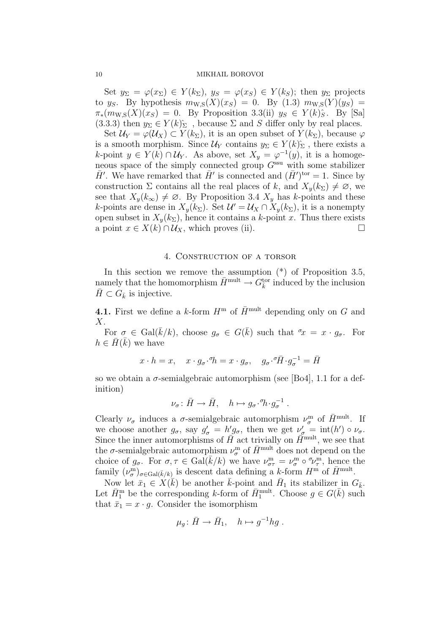Set  $y_{\Sigma} = \varphi(x_{\Sigma}) \in Y(k_{\Sigma}), y_{S} = \varphi(x_{S}) \in Y(k_{S});$  then  $y_{\Sigma}$  projects to y<sub>S</sub>. By hypothesis  $m_{\text{W},S}(X)(x_S) = 0$ . By  $(1.3)$   $m_{\text{W},S}(Y)(y_S) =$  $\pi_*(m_{\text{WS}}(X)(x_S) = 0$ . By Proposition 3.3(ii)  $y_S \in Y(k)$ <sup>2</sup>. By [Sa] (3.3.3) then  $y_{\Sigma} \in Y(k)_{\Sigma}$ , because  $\Sigma$  and  $S$  differ only by real places.

Set  $\mathcal{U}_Y = \varphi(\mathcal{U}_X) \subset Y(k_\Sigma)$ , it is an open subset of  $Y(k_\Sigma)$ , because  $\varphi$ is a smooth morphism. Since  $\mathcal{U}_Y$  contains  $y_\Sigma \in Y(k)_{\Sigma}^{\hat{}}$ , there exists a k-point  $y \in Y(k) \cap \mathcal{U}_Y$ . As above, set  $X_y = \varphi^{-1}(y)$ , it is a homogeneous space of the simply connected group  $G^{\text{ssu}}$  with some stabilizer  $\bar{H}'$ . We have remarked that  $\bar{H}'$  is connected and  $(\bar{H}')^{\text{tor}} = 1$ . Since by construction  $\Sigma$  contains all the real places of k, and  $X_y(k_{\Sigma}) \neq \emptyset$ , we see that  $X_y(k_\infty) \neq \emptyset$ . By Proposition 3.4  $X_y$  has k-points and these k-points are dense in  $X_y(k_{\Sigma})$ . Set  $\mathcal{U}' = \mathcal{U}_X \cap X_y(k_{\Sigma})$ , it is a nonempty open subset in  $X_y(k_{\Sigma})$ , hence it contains a k-point x. Thus there exists a point  $x \in X(k) \cap U_X$ , which proves (ii).

# 4. Construction of a torsor

In this section we remove the assumption  $(*)$  of Proposition 3.5, namely that the homomorphism  $\bar{H}^{\text{mult}} \to G_{\bar{k}}^{\text{tor}}$  induced by the inclusion  $\bar{H} \subset G_{\bar{k}}$  is injective.

4.1. First we define a k-form  $H^{\rm m}$  of  $\bar{H}^{\rm mult}$  depending only on G and  $X$ .

For  $\sigma \in \text{Gal}(\bar{k}/k)$ , choose  $g_{\sigma} \in G(\bar{k})$  such that  $\sigma_x = x \cdot g_{\sigma}$ . For  $h \in \bar{H}(\bar{k})$  we have

$$
x \cdot h = x
$$
,  $x \cdot g_{\sigma} \cdot {}^{\sigma}h = x \cdot g_{\sigma}$ ,  $g_{\sigma} \cdot {}^{\sigma}\bar{H} \cdot g_{\sigma}^{-1} = \bar{H}$ 

so we obtain a  $\sigma$ -semialgebraic automorphism (see [Bo4], 1.1 for a definition)

$$
\nu_\sigma\colon \bar{H}\to \bar{H},\quad h\mapsto g_\sigma\!\cdot^\sigma\!\!h\!\cdot\!g_\sigma^{-1}\;.
$$

Clearly  $\nu_{\sigma}$  induces a  $\sigma$ -semialgebraic automorphism  $\nu_{\sigma}^{\text{m}}$  of  $\bar{H}^{\text{mult}}$ . If we choose another  $g_{\sigma}$ , say  $g'_{\sigma} = h' g_{\sigma}$ , then we get  $\nu'_{\sigma} = \text{int}(h') \circ \nu_{\sigma}$ . Since the inner automorphisms of  $\tilde{H}$  act trivially on  $\tilde{H}$ <sup>mult</sup>, we see that the  $\sigma$ -semialgebraic automorphism  $\nu_{\sigma}^{\text{m}}$  of  $\bar{H}^{\text{mult}}$  does not depend on the choice of  $g_{\sigma}$ . For  $\sigma, \tau \in \text{Gal}(\bar{k}/k)$  we have  $\nu_{\sigma\tau}^{\text{m}} = \nu_{\sigma}^{\text{m}} \circ \nu_{\tau}^{\text{m}}$ , hence the family  $(\nu_{\sigma}^{\text{m}})_{\sigma \in \text{Gal}(\bar{k}/k)}$  is descent data defining a k-form  $H^{\text{m}}$  of  $\bar{H}^{\text{mult}}$ .

Now let  $\bar{x}_1 \in X(\bar{k})$  be another  $\bar{k}$ -point and  $\bar{H}_1$  its stabilizer in  $G_{\bar{k}}$ . Let  $\bar{H}_1^{\text{m}}$  be the corresponding k-form of  $\bar{H}_1^{\text{mult}}$ . Choose  $g \in G(\bar{k})$  such that  $\bar{x}_1 = x \cdot g$ . Consider the isomorphism

$$
\mu_g \colon \bar{H} \to \bar{H}_1, \quad h \mapsto g^{-1} h g \ .
$$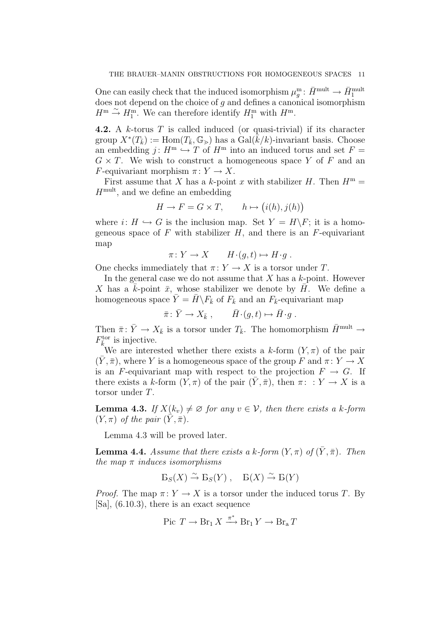One can easily check that the induced isomorphism  $\mu_g^m: \bar{H}^{\text{mult}} \to \bar{H}^{\text{mult}}_1$ does not depend on the choice of  $g$  and defines a canonical isomorphism  $H^{\mathrm{m}} \stackrel{\sim}{\rightarrow} H_1^{\mathrm{m}}$ . We can therefore identify  $H_1^{\mathrm{m}}$  with  $H^{\mathrm{m}}$ .

**4.2.** A k-torus  $T$  is called induced (or quasi-trivial) if its character group  $X^*(T_{\bar{k}}) := \text{Hom}(T_{\bar{k}}, \mathbb{G}_{>})$  has a  $\text{Gal}(\bar{k}/k)$ -invariant basis. Choose an embedding  $j: H^m \hookrightarrow T$  of  $H^m$  into an induced torus and set  $F =$  $G \times T$ . We wish to construct a homogeneous space Y of F and an F-equivariant morphism  $\pi: Y \to X$ .

First assume that X has a k-point x with stabilizer H. Then  $H^m =$  $H^{\text{mult}}$ , and we define an embedding

$$
H \to F = G \times T, \qquad h \mapsto (i(h), j(h))
$$

where  $i: H \hookrightarrow G$  is the inclusion map. Set  $Y = H\backslash F$ ; it is a homogeneous space of  $F$  with stabilizer  $H$ , and there is an  $F$ -equivariant map

$$
\pi: Y \to X \qquad H \cdot (g, t) \mapsto H \cdot g \ .
$$

One checks immediately that  $\pi: Y \to X$  is a torsor under T.

In the general case we do not assume that  $X$  has a  $k$ -point. However X has a  $\bar{k}$ -point  $\bar{x}$ , whose stabilizer we denote by  $\bar{H}$ . We define a homogeneous space  $\bar{Y} = \bar{H} \backslash F_{\bar{k}}$  of  $F_{\bar{k}}$  and an  $F_{\bar{k}}$ -equivariant map

$$
\bar{\pi} \colon \bar{Y} \to X_{\bar{k}} , \qquad \bar{H} \cdot (g, t) \mapsto \bar{H} \cdot g .
$$

Then  $\bar{\pi} \colon \bar{Y} \to X_{\bar{k}}$  is a torsor under  $T_{\bar{k}}$ . The homomorphism  $\bar{H}^{\text{mult}} \to$  $F_{\bar{k}}^{\text{tor}}$  is injective.

We are interested whether there exists a k-form  $(Y, \pi)$  of the pair  $(\bar{Y}, \bar{\pi})$ , where Y is a homogeneous space of the group F and  $\pi : Y \to X$ is an F-equivariant map with respect to the projection  $F \to G$ . If there exists a k-form  $(Y, \pi)$  of the pair  $(\overline{Y}, \overline{\pi})$ , then  $\pi : Y \to X$  is a torsor under T.

**Lemma 4.3.** If  $X(k_v) \neq \emptyset$  for any  $v \in V$ , then there exists a k-form  $(Y, \pi)$  of the pair  $(\bar{Y}, \bar{\pi})$ .

Lemma 4.3 will be proved later.

**Lemma 4.4.** Assume that there exists a k-form  $(Y, \pi)$  of  $(\bar{Y}, \bar{\pi})$ . Then the map  $\pi$  induces isomorphisms

$$
B_S(X) \xrightarrow{\sim} B_S(Y) , \quad B(X) \xrightarrow{\sim} B(Y)
$$

*Proof.* The map  $\pi: Y \to X$  is a torsor under the induced torus T. By [Sa], (6.10.3), there is an exact sequence

Pic 
$$
T \to \text{Br}_1 X \xrightarrow{\pi^*} \text{Br}_1 Y \to \text{Br}_a T
$$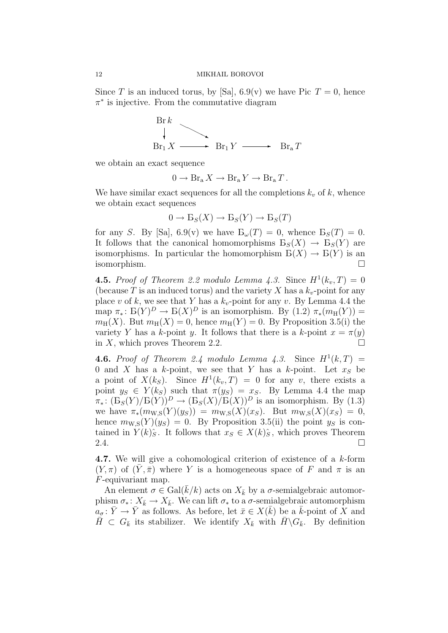Since T is an induced torus, by [Sa],  $6.9(v)$  we have Pic  $T = 0$ , hence  $\pi^*$  is injective. From the commutative diagram



we obtain an exact sequence

$$
0 \to \operatorname{Br}_{\rm a} X \to \operatorname{Br}_{\rm a} Y \to \operatorname{Br}_{\rm a} T.
$$

We have similar exact sequences for all the completions  $k_v$  of k, whence we obtain exact sequences

$$
0 \to \mathcal{B}_S(X) \to \mathcal{B}_S(Y) \to \mathcal{B}_S(T)
$$

for any S. By [Sa], 6.9(v) we have  $B_{\omega}(T) = 0$ , whence  $B_{S}(T) = 0$ . It follows that the canonical homomorphisms  $B_S(X) \to B_S(Y)$  are isomorphisms. In particular the homomorphism  $B(X) \to B(Y)$  is an isomorphism.

**4.5.** Proof of Theorem 2.2 modulo Lemma 4.3. Since  $H^1(k_v, T) = 0$ (because T is an induced torus) and the variety X has a  $k_v$ -point for any place v of k, we see that Y has a  $k_v$ -point for any v. By Lemma 4.4 the map  $\pi_* \colon \mathcal{B}(Y)^D \to \mathcal{B}(X)^D$  is an isomorphism. By  $(1.2) \pi_*(m_\mathcal{H}(Y)) =$  $m_{\rm H}(X)$ . But  $m_{\rm H}(X) = 0$ , hence  $m_{\rm H}(Y) = 0$ . By Proposition 3.5(i) the variety Y has a k-point y. It follows that there is a k-point  $x = \pi(y)$ in X, which proves Theorem 2.2.

**4.6.** Proof of Theorem 2.4 modulo Lemma 4.3. Since  $H^1(k,T) =$ 0 and X has a k-point, we see that Y has a k-point. Let  $x<sub>S</sub>$  be a point of  $X(k_S)$ . Since  $H^1(k_v, T) = 0$  for any v, there exists a point  $y_S \in Y(k_S)$  such that  $\pi(y_S) = x_S$ . By Lemma 4.4 the map  $\pi_*: (\mathcal{B}_S(Y)/\mathcal{B}(Y))^D \to (\mathcal{B}_S(X)/\mathcal{B}(X))^D$  is an isomorphism. By (1.3) we have  $\pi_*(m_{W,S}(Y)(y_S)) = m_{W,S}(X)(x_S)$ . But  $m_{W,S}(X)(x_S) = 0$ , hence  $m_{\text{W},S}(Y)(y_S) = 0$ . By Proposition 3.5(ii) the point  $y_S$  is contained in  $Y(k)\hat{S}$ . It follows that  $x_S \in X(k)\hat{S}$ , which proves Theorem 2.4.  $\Box$ 

4.7. We will give a cohomological criterion of existence of a k-form  $(Y, \pi)$  of  $(Y, \bar{\pi})$  where Y is a homogeneous space of F and  $\pi$  is an F-equivariant map.

An element  $\sigma \in \text{Gal}(\bar{k}/k)$  acts on  $X_{\bar{k}}$  by a  $\sigma$ -semialgebraic automorphism  $\sigma_*: X_{\bar{k}} \to X_{\bar{k}}$ . We can lift  $\sigma_*$  to a  $\sigma$ -semialgebraic automorphism  $a_{\sigma} : \bar{Y} \to \bar{Y}$  as follows. As before, let  $\bar{x} \in X(\bar{k})$  be a  $\bar{k}$ -point of X and  $\bar{H} \subset G_{\bar{k}}$  its stabilizer. We identify  $X_{\bar{k}}$  with  $\bar{H} \backslash G_{\bar{k}}$ . By definition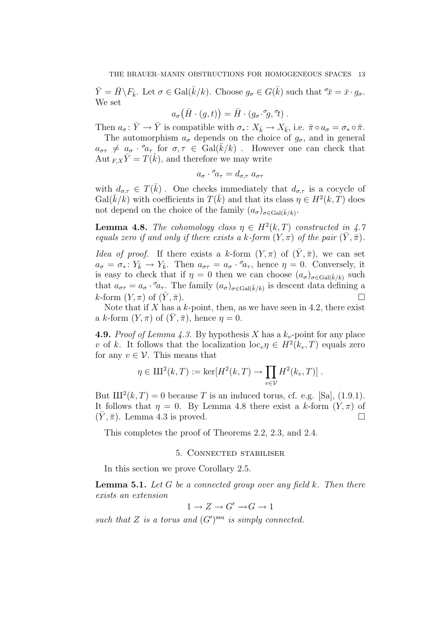$\bar{Y} = \bar{H} \backslash F_{\bar{k}}$ . Let  $\sigma \in \text{Gal}(\bar{k}/k)$ . Choose  $g_{\sigma} \in G(\bar{k})$  such that  $\bar{x} = \bar{x} \cdot g_{\sigma}$ . We set

$$
a_{\sigma}(\bar{H}\cdot(g,t))=\bar{H}\cdot(g_{\sigma}\cdot^{\sigma}g,\,^{\sigma}t).
$$

Then  $a_{\sigma} \colon \bar{Y} \to \bar{Y}$  is compatible with  $\sigma_* \colon X_{\bar{k}} \to X_{\bar{k}}$ , i.e.  $\bar{\pi} \circ a_{\sigma} = \sigma_* \circ \bar{\pi}$ .

The automorphism  $a_{\sigma}$  depends on the choice of  $q_{\sigma}$ , and in general  $a_{\sigma\tau} \neq a_{\sigma} \cdot a_{\tau}$  for  $\sigma, \tau \in Gal(\bar{k}/k)$ . However one can check that Aut  $_{F,X}\bar{Y} = T(\bar{k})$ , and therefore we may write

$$
a_{\sigma} \cdot {}^{\sigma}\! a_{\tau} = d_{\sigma,\tau} \; a_{\sigma\tau}
$$

with  $d_{\sigma,\tau} \in T(\bar{k})$ . One checks immediately that  $d_{\sigma,\tau}$  is a cocycle of  $Gal(\overline{k}/k)$  with coefficients in  $T(\overline{k})$  and that its class  $\eta \in H^2(k, T)$  does not depend on the choice of the family  $(a_{\sigma})_{\sigma \in \text{Gal}(\bar{k}/k)}$ .

**Lemma 4.8.** The cohomology class  $\eta \in H^2(k,T)$  constructed in 4.7 equals zero if and only if there exists a k-form  $(Y, \pi)$  of the pair  $(\overline{Y}, \overline{\pi})$ .

Idea of proof. If there exists a k-form  $(Y, \pi)$  of  $(\bar{Y}, \bar{\pi})$ , we can set  $a_{\sigma} = \sigma_* \colon Y_{\bar{k}} \to Y_{\bar{k}}$ . Then  $a_{\sigma\tau} = a_{\sigma} \cdot \sigma_{a_{\tau}}$ , hence  $\eta = 0$ . Conversely, it is easy to check that if  $\eta = 0$  then we can choose  $(a_{\sigma})_{\sigma \in \text{Gal}(\bar{k}/k)}$  such that  $a_{\sigma\tau} = a_{\sigma} \cdot a_{\tau}$ . The family  $(a_{\sigma})_{\sigma \in \text{Gal}(\bar{k}/k)}$  is descent data defining a  $k$ -form  $(Y, \pi)$  of  $(\bar{Y}, \bar{\pi})$ .

Note that if  $X$  has a  $k$ -point, then, as we have seen in 4.2, there exist a k-form  $(Y, \pi)$  of  $(Y, \overline{\pi})$ , hence  $\eta = 0$ .

**4.9.** Proof of Lemma 4.3. By hypothesis X has a  $k_v$ -point for any place v of k. It follows that the localization  $\mathrm{loc}_{v} \eta \in H^{2}(k_{v}, T)$  equals zero for any  $v \in \mathcal{V}$ . This means that

$$
\eta \in \mathrm{III}^2(k,T) := \ker[H^2(k,T) \to \prod_{v \in \mathcal{V}} H^2(k_v,T)].
$$

But  $III^2(k, T) = 0$  because T is an induced torus, cf. e.g. [Sa], (1.9.1). It follows that  $\eta = 0$ . By Lemma 4.8 there exist a k-form  $(Y, \pi)$  of  $(\bar{Y}, \bar{\pi})$ . Lemma 4.3 is proved.

This completes the proof of Theorems 2.2, 2.3, and 2.4.

# 5. Connected stabiliser

In this section we prove Corollary 2.5.

**Lemma 5.1.** Let G be a connected group over any field k. Then there exists an extension

$$
1 \to Z \to G' \to G \to 1
$$

such that Z is a torus and  $(G')^{\text{ssu}}$  is simply connected.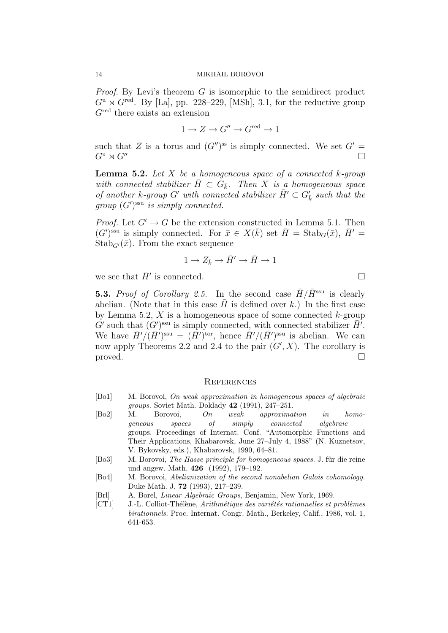Proof. By Levi's theorem G is isomorphic to the semidirect product  $G^{\rm u} \rtimes G^{\rm red}$ . By [La], pp. 228–229, [MSh], 3.1, for the reductive group  $G<sup>red</sup>$  there exists an extension

$$
1 \to Z \to G'' \to G^{\text{red}} \to 1
$$

such that Z is a torus and  $(G'')^{ss}$  is simply connected. We set  $G' =$  $G^{\mathrm{u}} \rtimes G^{\prime\prime}$ 

**Lemma 5.2.** Let X be a homogeneous space of a connected  $k$ -group with connected stabilizer  $\overline{H} \subset G_{\overline{k}}$ . Then X is a homogeneous space of another k-group G' with connected stabilizer  $\overline{H}' \subset G'_{\overline{k}}$  such that the  $group (G')^{ssu}$  is simply connected.

*Proof.* Let  $G' \rightarrow G$  be the extension constructed in Lemma 5.1. Then  $(G')^{\text{ssu}}$  is simply connected. For  $\bar{x} \in X(\bar{k})$  set  $\bar{H} = \text{Stab}_G(\bar{x}), \bar{H}' =$  $Stab_{G'}(\bar{x})$ . From the exact sequence

$$
1 \to Z_{\bar{k}} \to \bar{H}' \to \bar{H} \to 1
$$

we see that  $\bar{H}'$  is connected.

**5.3.** Proof of Corollary 2.5. In the second case  $\bar{H}/\bar{H}^{\text{ssu}}$  is clearly abelian. (Note that in this case  $\bar{H}$  is defined over k.) In the first case by Lemma 5.2,  $X$  is a homogeneous space of some connected  $k$ -group  $G'$  such that  $(G')^{\text{ssu}}$  is simply connected, with connected stabilizer  $\overline{H}'$ . We have  $\bar{H}'/(\bar{H}')^{\text{ssu}} = (\bar{H}')^{\text{tor}}$ , hence  $\bar{H}'/(\bar{H}')^{\text{ssu}}$  is abelian. We can now apply Theorems 2.2 and 2.4 to the pair  $(G', X)$ . The corollary is  $\Box$ 

### **REFERENCES**

- [Bo1] M. Borovoi, On weak approximation in homogeneous spaces of algebraic groups. Soviet Math. Doklady 42 (1991), 247–251.
- [Bo2] M. Borovoi, On weak approximation in homogeneous spaces of simply connected algebraic groups. Proceedings of Internat. Conf. "Automorphic Functions and Their Applications, Khabarovsk, June 27–July 4, 1988" (N. Kuznetsov, V. Bykovsky, eds.), Khabarovsk, 1990, 64–81.
- [Bo3] M. Borovoi, *The Hasse principle for homogeneous spaces.* J. für die reine und angew. Math. 426 (1992), 179–192.
- [Bo4] M. Borovoi, Abelianization of the second nonabelian Galois cohomology. Duke Math. J. 72 (1993), 217–239.
- [Brl] A. Borel, Linear Algebraic Groups, Benjamin, New York, 1969.
- [CT1] J.-L. Colliot-Thélène, Arithmétique des variétés rationnelles et problèmes birationnels. Proc. Internat. Congr. Math., Berkeley, Calif., 1986, vol. 1, 641-653.